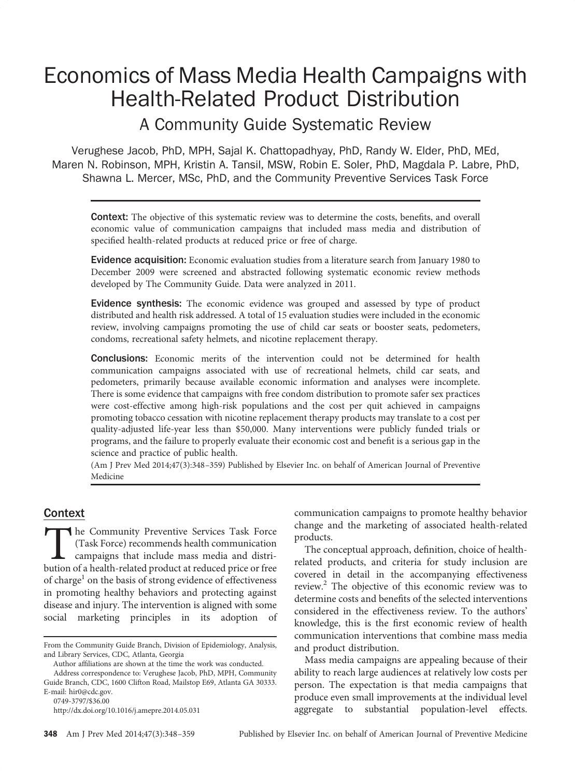# Economics of Mass Media Health Campaigns with Health-Related Product Distribution

A Community Guide Systematic Review

Verughese Jacob, PhD, MPH, Sajal K. Chattopadhyay, PhD, Randy W. Elder, PhD, MEd, Maren N. Robinson, MPH, Kristin A. Tansil, MSW, Robin E. Soler, PhD, Magdala P. Labre, PhD, Shawna L. Mercer, MSc, PhD, and the Community Preventive Services Task Force

Context: The objective of this systematic review was to determine the costs, benefits, and overall economic value of communication campaigns that included mass media and distribution of specified health-related products at reduced price or free of charge.

Evidence acquisition: Economic evaluation studies from a literature search from January 1980 to December 2009 were screened and abstracted following systematic economic review methods developed by The Community Guide. Data were analyzed in 2011.

Evidence synthesis: The economic evidence was grouped and assessed by type of product distributed and health risk addressed. A total of 15 evaluation studies were included in the economic review, involving campaigns promoting the use of child car seats or booster seats, pedometers, condoms, recreational safety helmets, and nicotine replacement therapy.

Conclusions: Economic merits of the intervention could not be determined for health communication campaigns associated with use of recreational helmets, child car seats, and pedometers, primarily because available economic information and analyses were incomplete. There is some evidence that campaigns with free condom distribution to promote safer sex practices were cost-effective among high-risk populations and the cost per quit achieved in campaigns promoting tobacco cessation with nicotine replacement therapy products may translate to a cost per quality-adjusted life-year less than \$50,000. Many interventions were publicly funded trials or programs, and the failure to properly evaluate their economic cost and benefit is a serious gap in the science and practice of public health.

(Am J Prev Med 2014;47(3):348–359) Published by Elsevier Inc. on behalf of American Journal of Preventive Medicine

# **Context**

The Community Preventive Services Task Force (Task Force) recommends health communication campaigns that include mass media and distribution of a health-related product at reduced price or free (Task Force) recommends health communication campaigns that include mass media and distriof charge<sup>1</sup> on the basis of strong evidence of effectiveness in promoting healthy behaviors and protecting against disease and injury. The intervention is aligned with some social marketing principles in its adoption of

0749-3797/\$36.00

communication campaigns to promote healthy behavior change and the marketing of associated health-related products.

The conceptual approach, definition, choice of healthrelated products, and criteria for study inclusion are covered in detail in the accompanying effectiveness review.2 The objective of this economic review was to determine costs and benefits of the selected interventions considered in the effectiveness review. To the authors' knowledge, this is the first economic review of health communication interventions that combine mass media and product distribution.

Mass media campaigns are appealing because of their ability to reach large audiences at relatively low costs per person. The expectation is that media campaigns that produce even small improvements at the individual level aggregate to substantial population-level effects.

From the Community Guide Branch, Division of Epidemiology, Analysis, and Library Services, CDC, Atlanta, Georgia

Author affiliations are shown at the time the work was conducted.

Address correspondence to: Verughese Jacob, PhD, MPH, Community Guide Branch, CDC, 1600 Clifton Road, Mailstop E69, Atlanta GA 30333. E-mail: hir0@cdc.gov.

http://dx.doi.org/10.1016/j.amepre.2014.05.031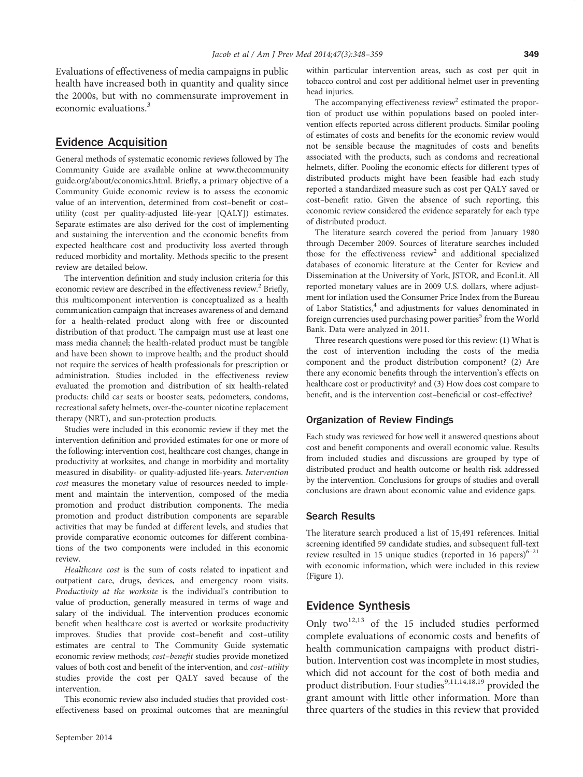Evaluations of effectiveness of media campaigns in public health have increased both in quantity and quality since the 2000s, but with no commensurate improvement in economic evaluations.<sup>3</sup>

## Evidence Acquisition

General methods of systematic economic reviews followed by The Community Guide are available online at www.thecommunity guide.org/about/economics.html. Briefly, a primary objective of a Community Guide economic review is to assess the economic value of an intervention, determined from cost–benefit or cost– utility (cost per quality-adjusted life-year [QALY]) estimates. Separate estimates are also derived for the cost of implementing and sustaining the intervention and the economic benefits from expected healthcare cost and productivity loss averted through reduced morbidity and mortality. Methods specific to the present review are detailed below.

The intervention definition and study inclusion criteria for this economic review are described in the effectiveness review.<sup>2</sup> Briefly, this multicomponent intervention is conceptualized as a health communication campaign that increases awareness of and demand for a health-related product along with free or discounted distribution of that product. The campaign must use at least one mass media channel; the health-related product must be tangible and have been shown to improve health; and the product should not require the services of health professionals for prescription or administration. Studies included in the effectiveness review evaluated the promotion and distribution of six health-related products: child car seats or booster seats, pedometers, condoms, recreational safety helmets, over-the-counter nicotine replacement therapy (NRT), and sun-protection products.

Studies were included in this economic review if they met the intervention definition and provided estimates for one or more of the following: intervention cost, healthcare cost changes, change in productivity at worksites, and change in morbidity and mortality measured in disability- or quality-adjusted life-years. Intervention cost measures the monetary value of resources needed to implement and maintain the intervention, composed of the media promotion and product distribution components. The media promotion and product distribution components are separable activities that may be funded at different levels, and studies that provide comparative economic outcomes for different combinations of the two components were included in this economic review.

Healthcare cost is the sum of costs related to inpatient and outpatient care, drugs, devices, and emergency room visits. Productivity at the worksite is the individual's contribution to value of production, generally measured in terms of wage and salary of the individual. The intervention produces economic benefit when healthcare cost is averted or worksite productivity improves. Studies that provide cost–benefit and cost–utility estimates are central to The Community Guide systematic economic review methods; cost–benefit studies provide monetized values of both cost and benefit of the intervention, and cost–utility studies provide the cost per QALY saved because of the intervention.

This economic review also included studies that provided costeffectiveness based on proximal outcomes that are meaningful

within particular intervention areas, such as cost per quit in tobacco control and cost per additional helmet user in preventing head injuries.

The accompanying effectiveness review<sup>2</sup> estimated the proportion of product use within populations based on pooled intervention effects reported across different products. Similar pooling of estimates of costs and benefits for the economic review would not be sensible because the magnitudes of costs and benefits associated with the products, such as condoms and recreational helmets, differ. Pooling the economic effects for different types of distributed products might have been feasible had each study reported a standardized measure such as cost per QALY saved or cost–benefit ratio. Given the absence of such reporting, this economic review considered the evidence separately for each type of distributed product.

The literature search covered the period from January 1980 through December 2009. Sources of literature searches included those for the effectiveness review<sup>2</sup> and additional specialized databases of economic literature at the Center for Review and Dissemination at the University of York, JSTOR, and EconLit. All reported monetary values are in 2009 U.S. dollars, where adjustment for inflation used the Consumer Price Index from the Bureau of Labor Statistics,<sup>4</sup> and adjustments for values denominated in foreign currencies used purchasing power parities<sup>5</sup> from the World Bank. Data were analyzed in 2011.

Three research questions were posed for this review: (1) What is the cost of intervention including the costs of the media component and the product distribution component? (2) Are there any economic benefits through the intervention's effects on healthcare cost or productivity? and (3) How does cost compare to benefit, and is the intervention cost–beneficial or cost-effective?

#### Organization of Review Findings

Each study was reviewed for how well it answered questions about cost and benefit components and overall economic value. Results from included studies and discussions are grouped by type of distributed product and health outcome or health risk addressed by the intervention. Conclusions for groups of studies and overall conclusions are drawn about economic value and evidence gaps.

#### Search Results

The literature search produced a list of 15,491 references. Initial screening identified 59 candidate studies, and subsequent full-text review resulted in 15 unique studies (reported in 16 papers) $6-21$ with economic information, which were included in this review (Figure 1).

## Evidence Synthesis

Only two $12,13$  of the 15 included studies performed complete evaluations of economic costs and benefits of health communication campaigns with product distribution. Intervention cost was incomplete in most studies, which did not account for the cost of both media and product distribution. Four studies<sup>9,11,14,18,19</sup> provided the grant amount with little other information. More than three quarters of the studies in this review that provided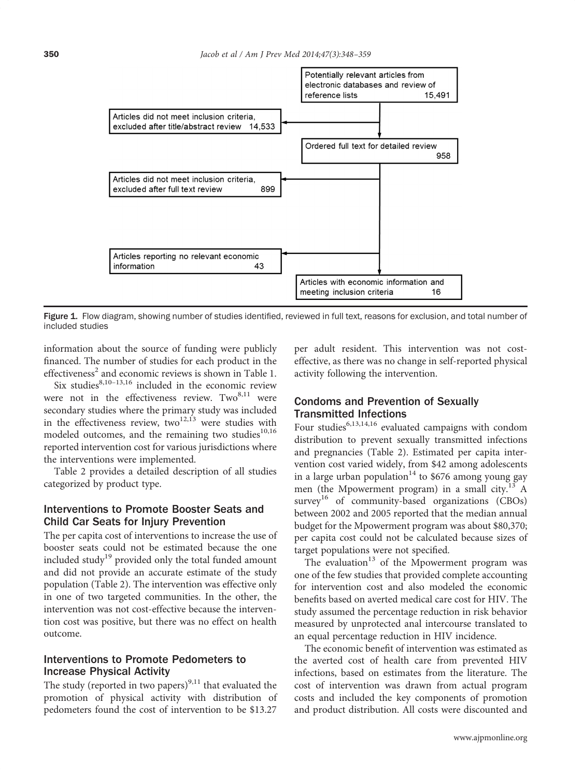

Figure 1. Flow diagram, showing number of studies identified, reviewed in full text, reasons for exclusion, and total number of included studies

information about the source of funding were publicly financed. The number of studies for each product in the effectiveness<sup>2</sup> and economic reviews is shown in Table 1.

Six studies $8,10-13,16$  included in the economic review were not in the effectiveness review.  $Two<sup>8,11</sup>$  were secondary studies where the primary study was included in the effectiveness review,  $two^{12,13}$  were studies with modeled outcomes, and the remaining two studies $10,16$ reported intervention cost for various jurisdictions where the interventions were implemented.

Table 2 provides a detailed description of all studies categorized by product type.

## Interventions to Promote Booster Seats and Child Car Seats for Injury Prevention

The per capita cost of interventions to increase the use of booster seats could not be estimated because the one included study<sup>19</sup> provided only the total funded amount and did not provide an accurate estimate of the study population (Table 2). The intervention was effective only in one of two targeted communities. In the other, the intervention was not cost-effective because the intervention cost was positive, but there was no effect on health outcome.

## Interventions to Promote Pedometers to Increase Physical Activity

The study (reported in two papers)<sup>9,11</sup> that evaluated the promotion of physical activity with distribution of pedometers found the cost of intervention to be \$13.27 per adult resident. This intervention was not costeffective, as there was no change in self-reported physical activity following the intervention.

## Condoms and Prevention of Sexually Transmitted Infections

Four studies<sup>6,13,14,16</sup> evaluated campaigns with condom distribution to prevent sexually transmitted infections and pregnancies (Table 2). Estimated per capita intervention cost varied widely, from \$42 among adolescents in a large urban population<sup>14</sup> to \$676 among young gay men (the Mpowerment program) in a small city. $13 A$ survey<sup>16</sup> of community-based organizations (CBOs) between 2002 and 2005 reported that the median annual budget for the Mpowerment program was about \$80,370; per capita cost could not be calculated because sizes of target populations were not specified.

The evaluation $13$  of the Mpowerment program was one of the few studies that provided complete accounting for intervention cost and also modeled the economic benefits based on averted medical care cost for HIV. The study assumed the percentage reduction in risk behavior measured by unprotected anal intercourse translated to an equal percentage reduction in HIV incidence.

The economic benefit of intervention was estimated as the averted cost of health care from prevented HIV infections, based on estimates from the literature. The cost of intervention was drawn from actual program costs and included the key components of promotion and product distribution. All costs were discounted and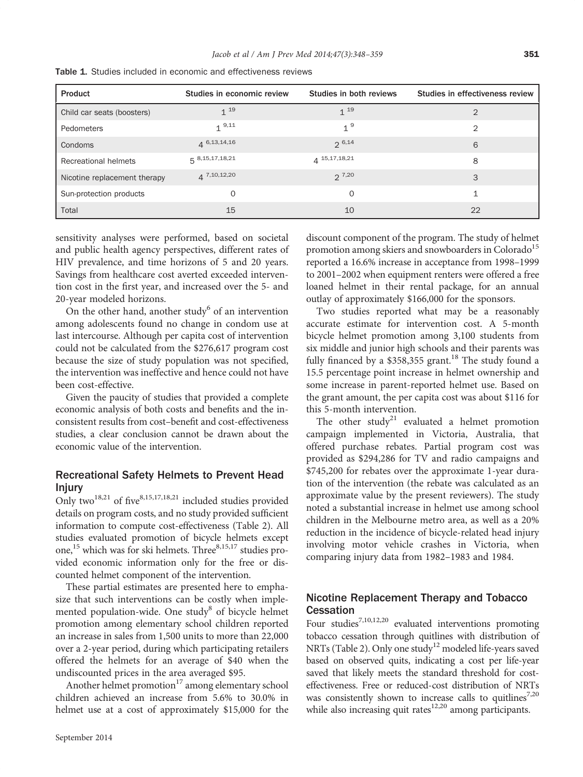| Product                      | Studies in economic review | Studies in both reviews | Studies in effectiveness review |
|------------------------------|----------------------------|-------------------------|---------------------------------|
| Child car seats (boosters)   | $1^{19}$                   | $1^{19}$                | ◠                               |
| Pedometers                   | $1^{9,11}$                 | 1 <sup>9</sup>          | 2                               |
| Condoms                      | $A^{6,13,14,16}$           | $2^{6,14}$              | 6                               |
| Recreational helmets         | 5 8, 15, 17, 18, 21        | $A$ 15,17,18,21         | 8                               |
| Nicotine replacement therapy | $\Delta^{7,10,12,20}$      | $2^{7,20}$              | 3                               |
| Sun-protection products      |                            | 0                       |                                 |
| Total                        | 15                         | 10                      | 22                              |

Table 1. Studies included in economic and effectiveness reviews

sensitivity analyses were performed, based on societal and public health agency perspectives, different rates of HIV prevalence, and time horizons of 5 and 20 years. Savings from healthcare cost averted exceeded intervention cost in the first year, and increased over the 5- and 20-year modeled horizons.

On the other hand, another study $6$  of an intervention among adolescents found no change in condom use at last intercourse. Although per capita cost of intervention could not be calculated from the \$276,617 program cost because the size of study population was not specified, the intervention was ineffective and hence could not have been cost-effective.

Given the paucity of studies that provided a complete economic analysis of both costs and benefits and the inconsistent results from cost–benefit and cost-effectiveness studies, a clear conclusion cannot be drawn about the economic value of the intervention.

## Recreational Safety Helmets to Prevent Head Injury

Only two<sup>18,21</sup> of five<sup>8,15,17,18,21</sup> included studies provided details on program costs, and no study provided sufficient information to compute cost-effectiveness (Table 2). All studies evaluated promotion of bicycle helmets except one,<sup>15</sup> which was for ski helmets. Three<sup>8,15,17</sup> studies provided economic information only for the free or discounted helmet component of the intervention.

These partial estimates are presented here to emphasize that such interventions can be costly when implemented population-wide. One study $8$  of bicycle helmet promotion among elementary school children reported an increase in sales from 1,500 units to more than 22,000 over a 2-year period, during which participating retailers offered the helmets for an average of \$40 when the undiscounted prices in the area averaged \$95.

Another helmet promotion<sup>17</sup> among elementary school children achieved an increase from 5.6% to 30.0% in helmet use at a cost of approximately \$15,000 for the discount component of the program. The study of helmet promotion among skiers and snowboarders in Colorado<sup>15</sup> reported a 16.6% increase in acceptance from 1998–1999 to 2001–2002 when equipment renters were offered a free loaned helmet in their rental package, for an annual outlay of approximately \$166,000 for the sponsors.

Two studies reported what may be a reasonably accurate estimate for intervention cost. A 5-month bicycle helmet promotion among 3,100 students from six middle and junior high schools and their parents was fully financed by a  $$358,355$  grant.<sup>18</sup> The study found a 15.5 percentage point increase in helmet ownership and some increase in parent-reported helmet use. Based on the grant amount, the per capita cost was about \$116 for this 5-month intervention.

The other study<sup>21</sup> evaluated a helmet promotion campaign implemented in Victoria, Australia, that offered purchase rebates. Partial program cost was provided as \$294,286 for TV and radio campaigns and \$745,200 for rebates over the approximate 1-year duration of the intervention (the rebate was calculated as an approximate value by the present reviewers). The study noted a substantial increase in helmet use among school children in the Melbourne metro area, as well as a 20% reduction in the incidence of bicycle-related head injury involving motor vehicle crashes in Victoria, when comparing injury data from 1982–1983 and 1984.

## Nicotine Replacement Therapy and Tobacco Cessation

Four studies<sup>7,10,12,20</sup> evaluated interventions promoting tobacco cessation through quitlines with distribution of NRTs (Table 2). Only one study<sup>12</sup> modeled life-years saved based on observed quits, indicating a cost per life-year saved that likely meets the standard threshold for costeffectiveness. Free or reduced-cost distribution of NRTs was consistently shown to increase calls to quitlines<sup>7,20</sup> while also increasing quit rates $12,20$  among participants.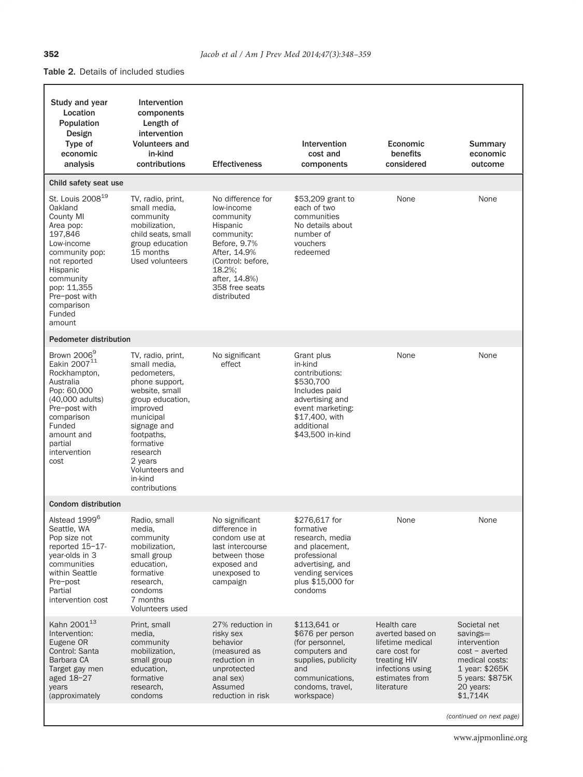I

Table 2. Details of included studies

| Study and year<br>Location<br>Population<br>Design<br>Type of<br>economic<br>analysis                                                                                                                                   | Intervention<br>components<br>Length of<br>intervention<br><b>Volunteers and</b><br>in-kind<br>contributions                                                                                                                                     | <b>Effectiveness</b>                                                                                                                                                                      | Intervention<br>cost and<br>components                                                                                                                           | Economic<br>benefits<br>considered                                                                                                       | Summary<br>economic<br>outcome                                                                                                                  |
|-------------------------------------------------------------------------------------------------------------------------------------------------------------------------------------------------------------------------|--------------------------------------------------------------------------------------------------------------------------------------------------------------------------------------------------------------------------------------------------|-------------------------------------------------------------------------------------------------------------------------------------------------------------------------------------------|------------------------------------------------------------------------------------------------------------------------------------------------------------------|------------------------------------------------------------------------------------------------------------------------------------------|-------------------------------------------------------------------------------------------------------------------------------------------------|
| Child safety seat use                                                                                                                                                                                                   |                                                                                                                                                                                                                                                  |                                                                                                                                                                                           |                                                                                                                                                                  |                                                                                                                                          |                                                                                                                                                 |
| St. Louis 2008 <sup>19</sup><br>Oakland<br>County MI<br>Area pop:<br>197,846<br>Low-income<br>community pop:<br>not reported<br>Hispanic<br>community<br>pop: 11,355<br>Pre-post with<br>comparison<br>Funded<br>amount | TV, radio, print,<br>small media.<br>community<br>mobilization,<br>child seats, small<br>group education<br>15 months<br>Used volunteers                                                                                                         | No difference for<br>low-income<br>community<br>Hispanic<br>community:<br>Before, 9.7%<br>After, 14.9%<br>(Control: before,<br>$18.2\%$<br>after, 14.8%)<br>358 free seats<br>distributed | \$53,209 grant to<br>each of two<br>communities<br>No details about<br>number of<br>vouchers<br>redeemed                                                         | None                                                                                                                                     | None                                                                                                                                            |
| <b>Pedometer distribution</b>                                                                                                                                                                                           |                                                                                                                                                                                                                                                  |                                                                                                                                                                                           |                                                                                                                                                                  |                                                                                                                                          |                                                                                                                                                 |
| Brown 2006 <sup>9</sup><br>Eakin 2007 <sup>11</sup><br>Rockhampton,<br>Australia<br>Pop: 60,000<br>(40,000 adults)<br>Pre-post with<br>comparison<br>Funded<br>amount and<br>partial<br>intervention<br>cost            | TV, radio, print,<br>small media.<br>pedometers.<br>phone support,<br>website, small<br>group education,<br>improved<br>municipal<br>signage and<br>footpaths,<br>formative<br>research<br>2 years<br>Volunteers and<br>in-kind<br>contributions | No significant<br>effect                                                                                                                                                                  | Grant plus<br>in-kind<br>contributions:<br>\$530,700<br>Includes paid<br>advertising and<br>event marketing:<br>\$17,400, with<br>additional<br>\$43,500 in-kind | None                                                                                                                                     | None                                                                                                                                            |
| <b>Condom distribution</b>                                                                                                                                                                                              |                                                                                                                                                                                                                                                  |                                                                                                                                                                                           |                                                                                                                                                                  |                                                                                                                                          |                                                                                                                                                 |
| Alstead 1999 <sup>6</sup><br>Seattle, WA<br>Pop size not<br>reported 15-17-<br>year-olds in 3<br>communities<br>within Seattle<br>Pre-post<br>Partial<br>intervention cost                                              | Radio, small<br>media,<br>community<br>mobilization,<br>small group<br>education,<br>formative<br>research,<br>condoms<br>7 months<br>Volunteers used                                                                                            | No significant<br>difference in<br>condom use at<br>last intercourse<br>between those<br>exposed and<br>unexposed to<br>campaign                                                          | \$276,617 for<br>formative<br>research, media<br>and placement.<br>professional<br>advertising, and<br>vending services<br>plus \$15,000 for<br>condoms          | None                                                                                                                                     | None                                                                                                                                            |
| Kahn 2001 <sup>13</sup><br>Intervention:<br>Eugene OR<br>Control: Santa<br>Barbara CA<br>Target gay men<br>aged 18-27<br>years<br>(approximately                                                                        | Print, small<br>media,<br>community<br>mobilization,<br>small group<br>education,<br>formative<br>research,<br>condoms                                                                                                                           | 27% reduction in<br>risky sex<br>behavior<br>(measured as<br>reduction in<br>unprotected<br>anal sex)<br>Assumed<br>reduction in risk                                                     | \$113,641 or<br>\$676 per person<br>(for personnel,<br>computers and<br>supplies, publicity<br>and<br>communications,<br>condoms, travel,<br>workspace)          | Health care<br>averted based on<br>lifetime medical<br>care cost for<br>treating HIV<br>infections using<br>estimates from<br>literature | Societal net<br>$savings =$<br>intervention<br>$cost - averted$<br>medical costs:<br>1 year: \$265K<br>5 years: \$875K<br>20 years:<br>\$1,714K |
|                                                                                                                                                                                                                         |                                                                                                                                                                                                                                                  |                                                                                                                                                                                           |                                                                                                                                                                  |                                                                                                                                          | (continued on next page)                                                                                                                        |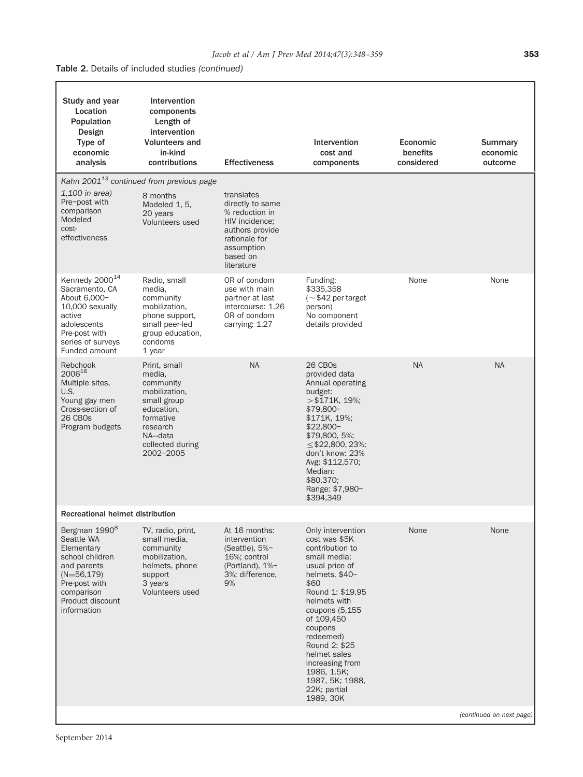| Table 2. Details of included studies (continued) |  |
|--------------------------------------------------|--|
|--------------------------------------------------|--|

| Study and year<br>Location<br>Population<br>Design<br>Type of<br>economic<br>analysis                                                                                     | Intervention<br>components<br>Length of<br>intervention<br><b>Volunteers and</b><br>in-kind<br>contributions                                           | <b>Effectiveness</b>                                                                                                                           | Intervention<br>cost and<br>components                                                                                                                                                                                                                                                                                           | Economic<br>benefits<br>considered | Summary<br>economic<br>outcome |
|---------------------------------------------------------------------------------------------------------------------------------------------------------------------------|--------------------------------------------------------------------------------------------------------------------------------------------------------|------------------------------------------------------------------------------------------------------------------------------------------------|----------------------------------------------------------------------------------------------------------------------------------------------------------------------------------------------------------------------------------------------------------------------------------------------------------------------------------|------------------------------------|--------------------------------|
| 1,100 in area)<br>Pre-post with<br>comparison<br>Modeled<br>cost-<br>effectiveness                                                                                        | Kahn 2001 <sup>13</sup> continued from previous page<br>8 months<br>Modeled 1, 5.<br>20 years<br>Volunteers used                                       | translates<br>directly to same<br>% reduction in<br>HIV incidence;<br>authors provide<br>rationale for<br>assumption<br>based on<br>literature |                                                                                                                                                                                                                                                                                                                                  |                                    |                                |
| Kennedy 2000 <sup>14</sup><br>Sacramento, CA<br>About 6,000-<br>10,000 sexually<br>active<br>adolescents<br>Pre-post with<br>series of surveys<br>Funded amount           | Radio, small<br>media.<br>community<br>mobilization.<br>phone support,<br>small peer-led<br>group education,<br>condoms<br>1 year                      | OR of condom<br>use with main<br>partner at last<br>intercourse: 1.26<br>OR of condom<br>carrying: 1.27                                        | Funding:<br>\$335,358<br>$(\sim$ \$42 per target<br>person)<br>No component<br>details provided                                                                                                                                                                                                                                  | None                               | None                           |
| Rebchook<br>$2006^{16}$<br>Multiple sites,<br>U.S.<br>Young gay men<br>Cross-section of<br>26 CBO <sub>S</sub><br>Program budgets                                         | Print, small<br>media,<br>community<br>mobilization,<br>small group<br>education,<br>formative<br>research<br>NA-data<br>collected during<br>2002-2005 | <b>NA</b>                                                                                                                                      | 26 CBO <sub>S</sub><br>provided data<br>Annual operating<br>budget:<br>$>$ \$171K, 19%;<br>\$79,800-<br>\$171K, 19%;<br>\$22,800-<br>\$79,800, 5%;<br>$\leq$ \$22,800, 23%;<br>don't know: 23%<br>Avg: \$112,570;<br>Median:<br>\$80,370;<br>Range: \$7,980-<br>\$394.349                                                        | <b>NA</b>                          | <b>NA</b>                      |
| Recreational helmet distribution                                                                                                                                          |                                                                                                                                                        |                                                                                                                                                |                                                                                                                                                                                                                                                                                                                                  |                                    |                                |
| Bergman 1990 <sup>8</sup><br>Seattle WA<br>Elementary<br>school children<br>and parents<br>$(N=56,179)$<br>Pre-post with<br>comparison<br>Product discount<br>information | TV, radio, print,<br>small media,<br>community<br>mobilization,<br>helmets, phone<br>support<br>3 years<br>Volunteers used                             | At 16 months:<br>intervention<br>(Seattle), 5%-<br>16%; control<br>(Portland), 1%-<br>3%; difference,<br>9%                                    | Only intervention<br>cost was \$5K<br>contribution to<br>small media;<br>usual price of<br>helmets, \$40-<br>\$60<br>Round 1: \$19.95<br>helmets with<br>coupons (5,155<br>of 109,450<br>coupons<br>redeemed)<br>Round 2: \$25<br>helmet sales<br>increasing from<br>1986, 1.5K;<br>1987, 5K; 1988,<br>22K; partial<br>1989, 30K | None                               | None                           |
|                                                                                                                                                                           |                                                                                                                                                        |                                                                                                                                                |                                                                                                                                                                                                                                                                                                                                  |                                    | (continued on next page)       |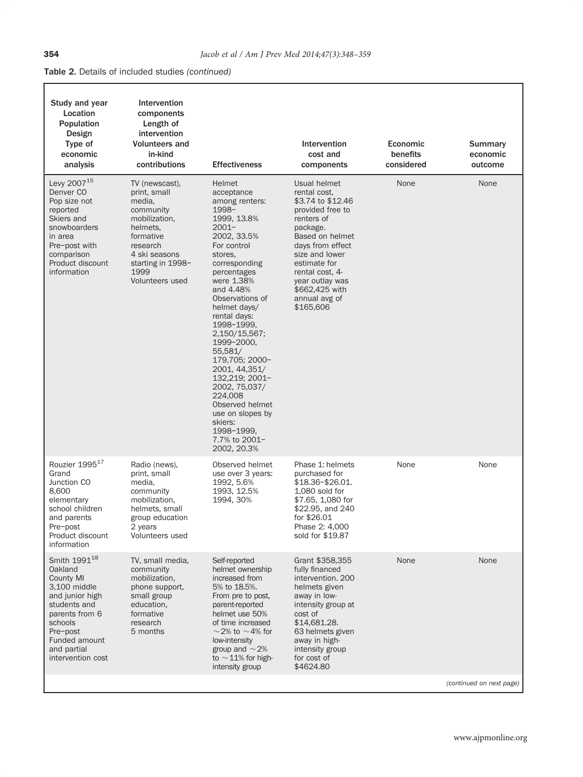ł

Table 2. Details of included studies (continued)

| Study and year<br>Location<br>Population<br>Design<br>Type of<br>economic<br>analysis                                                                                                                    | Intervention<br>components<br>Length of<br>intervention<br><b>Volunteers and</b><br>in-kind<br>contributions                                                                 | <b>Effectiveness</b>                                                                                                                                                                                                                                                                                                                                                                                                                                                              | Intervention<br>cost and<br>components                                                                                                                                                                                                                         | Economic<br>benefits<br>considered | Summary<br>economic<br>outcome |
|----------------------------------------------------------------------------------------------------------------------------------------------------------------------------------------------------------|------------------------------------------------------------------------------------------------------------------------------------------------------------------------------|-----------------------------------------------------------------------------------------------------------------------------------------------------------------------------------------------------------------------------------------------------------------------------------------------------------------------------------------------------------------------------------------------------------------------------------------------------------------------------------|----------------------------------------------------------------------------------------------------------------------------------------------------------------------------------------------------------------------------------------------------------------|------------------------------------|--------------------------------|
| Levy 2007 <sup>15</sup><br>Denver <sub>CO</sub><br>Pop size not<br>reported<br>Skiers and<br>snowboarders<br>in area<br>Pre-post with<br>comparison<br>Product discount<br>information                   | TV (newscast),<br>print, small<br>media,<br>community<br>mobilization,<br>helmets.<br>formative<br>research<br>4 ski seasons<br>starting in 1998-<br>1999<br>Volunteers used | <b>Helmet</b><br>acceptance<br>among renters:<br>1998-<br>1999, 13.8%<br>$2001 -$<br>2002, 33.5%<br>For control<br>stores,<br>corresponding<br>percentages<br>were 1.38%<br>and 4.48%<br>Observations of<br>helmet days/<br>rental days:<br>1998-1999.<br>2,150/15,567;<br>1999-2000.<br>55,581/<br>179,705; 2000-<br>2001, 44,351/<br>132,219; 2001-<br>2002, 75,037/<br>224,008<br>Observed helmet<br>use on slopes by<br>skiers:<br>1998-1999.<br>7.7% to 2001-<br>2002, 20.3% | Usual helmet<br>rental cost.<br>\$3.74 to \$12.46<br>provided free to<br>renters of<br>package.<br>Based on helmet<br>days from effect<br>size and lower<br>estimate for<br>rental cost, 4-<br>year outlay was<br>\$662,425 with<br>annual avg of<br>\$165,606 | None                               | None                           |
| Rouzier 1995 <sup>17</sup><br>Grand<br>Junction CO<br>8.600<br>elementary<br>school children<br>and parents<br>Pre-post<br>Product discount<br>information                                               | Radio (news),<br>print, small<br>media.<br>community<br>mobilization,<br>helmets, small<br>group education<br>2 years<br>Volunteers used                                     | Observed helmet<br>use over 3 years:<br>1992, 5.6%<br>1993. 12.5%<br>1994, 30%                                                                                                                                                                                                                                                                                                                                                                                                    | Phase 1: helmets<br>purchased for<br>\$18.36-\$26.01.<br>$1,080$ sold for<br>\$7.65, 1,080 for<br>\$22.95, and 240<br>for \$26.01<br>Phase 2: 4,000<br>sold for \$19.87                                                                                        | None                               | None                           |
| Smith 1991 <sup>18</sup><br>Oakland<br><b>County MI</b><br>3,100 middle<br>and junior high<br>students and<br>parents from 6<br>schools<br>Pre-post<br>Funded amount<br>and partial<br>intervention cost | TV, small media,<br>community<br>mobilization,<br>phone support.<br>small group<br>education,<br>formative<br>research<br>5 months                                           | Self-reported<br>helmet ownership<br>increased from<br>5% to 18.5%.<br>From pre to post,<br>parent-reported<br>helmet use 50%<br>of time increased<br>$\sim$ 2% to $\sim$ 4% for<br>low-intensity<br>group and $\sim$ 2%<br>to $\sim$ 11% for high-<br>intensity group                                                                                                                                                                                                            | Grant \$358,355<br>fully financed<br>intervention, 200<br>helmets given<br>away in low-<br>intensity group at<br>cost of<br>\$14,681.28.<br>63 helmets given<br>away in high-<br>intensity group<br>for cost of<br>\$4624.80                                   | None                               | None                           |
|                                                                                                                                                                                                          |                                                                                                                                                                              |                                                                                                                                                                                                                                                                                                                                                                                                                                                                                   |                                                                                                                                                                                                                                                                |                                    | (continued on next page)       |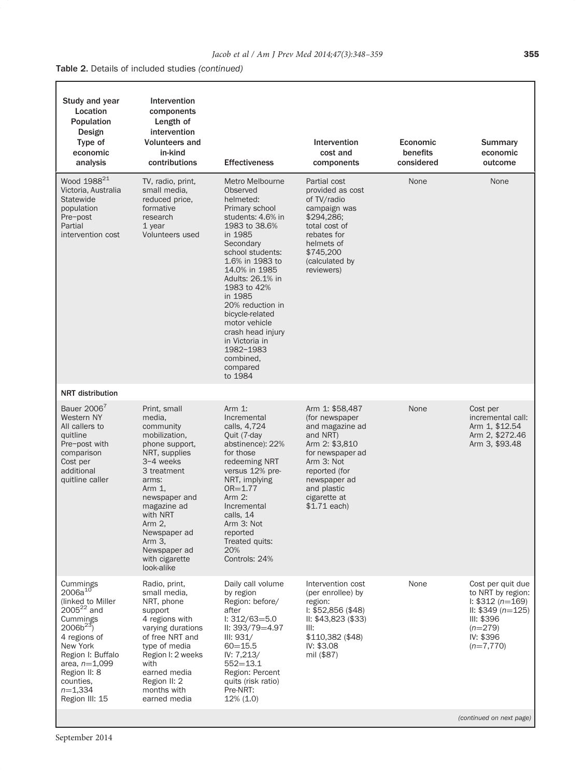| Table 2. Details of included studies (continued) |  |
|--------------------------------------------------|--|
|--------------------------------------------------|--|

| Study and year<br>Location<br>Population<br>Design<br>Type of<br>economic<br>analysis                                                                                                                                                 | Intervention<br>components<br>Length of<br>intervention<br><b>Volunteers and</b><br>in-kind<br>contributions                                                                                                                                                           | <b>Effectiveness</b>                                                                                                                                                                                                                                                                                                                                                           | Intervention<br>cost and<br>components                                                                                                                                                               | Economic<br>benefits<br>considered | Summary<br>economic<br>outcome                                                                                                             |
|---------------------------------------------------------------------------------------------------------------------------------------------------------------------------------------------------------------------------------------|------------------------------------------------------------------------------------------------------------------------------------------------------------------------------------------------------------------------------------------------------------------------|--------------------------------------------------------------------------------------------------------------------------------------------------------------------------------------------------------------------------------------------------------------------------------------------------------------------------------------------------------------------------------|------------------------------------------------------------------------------------------------------------------------------------------------------------------------------------------------------|------------------------------------|--------------------------------------------------------------------------------------------------------------------------------------------|
| Wood 1988 <sup>21</sup><br>Victoria, Australia<br>Statewide<br>population<br>Pre-post<br>Partial<br>intervention cost                                                                                                                 | TV, radio, print,<br>small media,<br>reduced price,<br>formative<br>research<br>1 year<br>Volunteers used                                                                                                                                                              | Metro Melbourne<br>Observed<br>helmeted:<br>Primary school<br>students: 4.6% in<br>1983 to 38.6%<br>in 1985<br>Secondary<br>school students:<br>1.6% in 1983 to<br>14.0% in 1985<br>Adults: 26.1% in<br>1983 to 42%<br>in 1985<br>20% reduction in<br>bicycle-related<br>motor vehicle<br>crash head injury<br>in Victoria in<br>1982-1983<br>combined,<br>compared<br>to 1984 | Partial cost<br>provided as cost<br>of TV/radio<br>campaign was<br>\$294,286;<br>total cost of<br>rebates for<br>helmets of<br>\$745,200<br>(calculated by<br>reviewers)                             | None                               | None                                                                                                                                       |
| <b>NRT</b> distribution                                                                                                                                                                                                               |                                                                                                                                                                                                                                                                        |                                                                                                                                                                                                                                                                                                                                                                                |                                                                                                                                                                                                      |                                    |                                                                                                                                            |
| Bauer 2006 <sup>7</sup><br>Western NY<br>All callers to<br>quitline<br>Pre-post with<br>comparison<br>Cost per<br>additional<br>quitline caller                                                                                       | Print, small<br>media,<br>community<br>mobilization.<br>phone support,<br>NRT, supplies<br>3-4 weeks<br>3 treatment<br>arms:<br>Arm 1,<br>newspaper and<br>magazine ad<br>with NRT<br>Arm 2.<br>Newspaper ad<br>Arm 3.<br>Newspaper ad<br>with cigarette<br>look-alike | Arm 1:<br>Incremental<br>calls, 4,724<br>Quit (7-day<br>abstinence): 22%<br>for those<br>redeeming NRT<br>versus 12% pre-<br>NRT, implying<br>$OR = 1.77$<br>Arm $2$ :<br>Incremental<br>calls, 14<br>Arm 3: Not<br>reported<br>Treated quits:<br>20%<br>Controls: 24%                                                                                                         | Arm 1: \$58,487<br>(for newspaper<br>and magazine ad<br>and NRT)<br>Arm 2: \$3,810<br>for newspaper ad<br>Arm 3: Not<br>reported (for<br>newspaper ad<br>and plastic<br>cigarette at<br>\$1.71 each) | None                               | Cost per<br>incremental call:<br>Arm 1, \$12.54<br>Arm 2, \$272.46<br>Arm 3, \$93.48                                                       |
| Cummings<br>2006a <sup>10</sup><br>(linked to Miller<br>$2005^{22}$ and<br>Cummings<br>$2006b^{23}$<br>4 regions of<br>New York<br>Region I: Buffalo<br>area, $n=1,099$<br>Region II: 8<br>counties,<br>$n = 1,334$<br>Region III: 15 | Radio, print,<br>small media,<br>NRT, phone<br>support<br>4 regions with<br>varying durations<br>of free NRT and<br>type of media<br>Region I: 2 weeks<br>with<br>earned media<br>Region II: 2<br>months with<br>earned media                                          | Daily call volume<br>by region<br>Region: before/<br>after<br>$1: 312/63 = 5.0$<br>II: 393/79=4.97<br>III: 931/<br>$60 = 15.5$<br>IV: $7,213/$<br>$552 = 13.1$<br>Region: Percent<br>quits (risk ratio)<br>Pre-NRT:<br>$12\%$ (1.0)                                                                                                                                            | Intervention cost<br>(per enrollee) by<br>region:<br>I: \$52,856 (\$48)<br>II: \$43,823 (\$33)<br>III:<br>\$110,382 (\$48)<br>IV: \$3.08<br>mil (\$87)                                               | None                               | Cost per quit due<br>to NRT by region:<br>$\pm$ \$312 (n=169)<br>II: $$349 (n=125)$<br>III: \$396<br>$(n=279)$<br>IV: \$396<br>$(n=7,770)$ |
|                                                                                                                                                                                                                                       |                                                                                                                                                                                                                                                                        |                                                                                                                                                                                                                                                                                                                                                                                |                                                                                                                                                                                                      |                                    | (continued on next page)                                                                                                                   |

September 2014

**The Community of the Community**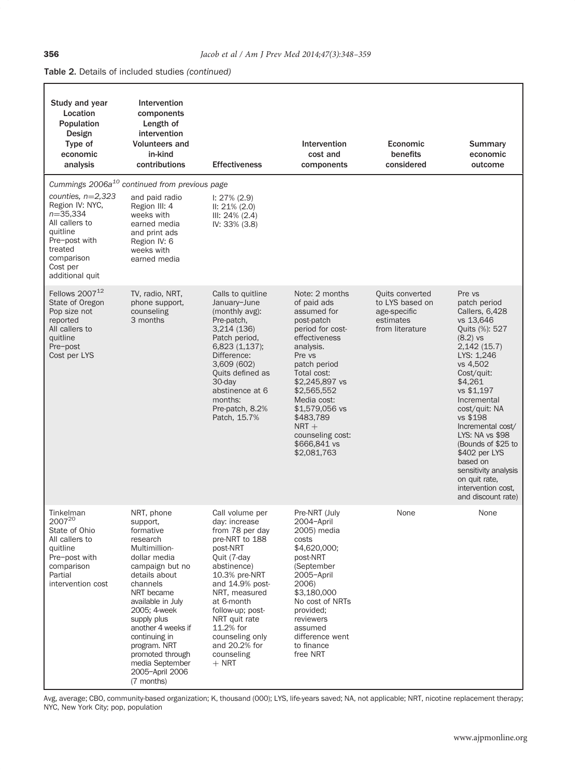Table 2. Details of included studies (continued)

| Study and year<br>Location<br>Population<br>Design<br>Type of<br>economic<br>analysis                                                                         | Intervention<br>components<br>Length of<br>intervention<br><b>Volunteers and</b><br>in-kind<br>contributions                                                                                                                                                                                                                      | <b>Effectiveness</b>                                                                                                                                                                                                                                                                              | Intervention<br>cost and<br>components                                                                                                                                                                                                                                                             | Economic<br>benefits<br>considered                                                        | Summary<br>economic<br>outcome                                                                                                                                                                                                                                                                                                                                                                    |
|---------------------------------------------------------------------------------------------------------------------------------------------------------------|-----------------------------------------------------------------------------------------------------------------------------------------------------------------------------------------------------------------------------------------------------------------------------------------------------------------------------------|---------------------------------------------------------------------------------------------------------------------------------------------------------------------------------------------------------------------------------------------------------------------------------------------------|----------------------------------------------------------------------------------------------------------------------------------------------------------------------------------------------------------------------------------------------------------------------------------------------------|-------------------------------------------------------------------------------------------|---------------------------------------------------------------------------------------------------------------------------------------------------------------------------------------------------------------------------------------------------------------------------------------------------------------------------------------------------------------------------------------------------|
|                                                                                                                                                               | Cummings 2006a <sup>10</sup> continued from previous page                                                                                                                                                                                                                                                                         |                                                                                                                                                                                                                                                                                                   |                                                                                                                                                                                                                                                                                                    |                                                                                           |                                                                                                                                                                                                                                                                                                                                                                                                   |
| counties, $n=2,323$<br>Region IV: NYC,<br>$n = 35,334$<br>All callers to<br>quitline<br>Pre-post with<br>treated<br>comparison<br>Cost per<br>additional quit | and paid radio<br>Region III: 4<br>weeks with<br>earned media<br>and print ads<br>Region IV: 6<br>weeks with<br>earned media                                                                                                                                                                                                      | $\Gamma$ : 27% (2.9)<br>$II: 21\% (2.0)$<br>$III: 24\% (2.4)$<br>IV: 33% (3.8)                                                                                                                                                                                                                    |                                                                                                                                                                                                                                                                                                    |                                                                                           |                                                                                                                                                                                                                                                                                                                                                                                                   |
| Fellows 2007 <sup>12</sup><br>State of Oregon<br>Pop size not<br>reported<br>All callers to<br>quitline<br>Pre-post<br>Cost per LYS                           | TV, radio, NRT,<br>phone support,<br>counseling<br>3 months                                                                                                                                                                                                                                                                       | Calls to quitline<br>January-June<br>(monthly avg):<br>Pre-patch,<br>3,214 (136)<br>Patch period.<br>6,823(1,137);<br>Difference:<br>3,609 (602)<br>Quits defined as<br>$30$ -day<br>abstinence at 6<br>months:<br>Pre-patch, 8.2%<br>Patch, 15.7%                                                | Note: 2 months<br>of paid ads<br>assumed for<br>post-patch<br>period for cost-<br>effectiveness<br>analysis.<br>Pre vs<br>patch period<br>Total cost:<br>\$2,245,897 vs<br>\$2,565,552<br>Media cost:<br>\$1,579,056 vs<br>\$483,789<br>$NRT +$<br>counseling cost:<br>\$666,841 vs<br>\$2,081,763 | <b>Quits converted</b><br>to LYS based on<br>age-specific<br>estimates<br>from literature | Pre vs<br>patch period<br>Callers, 6,428<br>vs 13,646<br>Quits (%): 527<br>$(8.2)$ vs<br>2,142(15.7)<br>LYS: 1,246<br>vs 4,502<br>Cost/quit:<br>\$4,261<br>vs \$1,197<br>Incremental<br>cost/quit: NA<br>vs \$198<br>Incremental cost/<br>LYS: NA vs \$98<br>(Bounds of \$25 to<br>\$402 per LYS<br>based on<br>sensitivity analysis<br>on quit rate,<br>intervention cost,<br>and discount rate) |
| Tinkelman<br>2007 <sup>20</sup><br>State of Ohio<br>All callers to<br>auitline<br>Pre-post with<br>comparison<br>Partial<br>intervention cost                 | NRT, phone<br>support,<br>formative<br>research<br>Multimillion-<br>dollar media<br>campaign but no<br>details about<br>channels<br>NRT became<br>available in July<br>2005; 4-week<br>supply plus<br>another 4 weeks if<br>continuing in<br>program. NRT<br>promoted through<br>media September<br>2005-April 2006<br>(7 months) | Call volume per<br>day: increase<br>from 78 per day<br>pre-NRT to 188<br>post-NRT<br>Quit (7-day<br>abstinence)<br>10.3% pre-NRT<br>and 14.9% post-<br>NRT, measured<br>at 6-month<br>follow-up; post-<br>NRT quit rate<br>11.2% for<br>counseling only<br>and 20.2% for<br>counseling<br>$+$ NRT | Pre-NRT (July<br>2004-April<br>2005) media<br>costs<br>\$4,620,000;<br>post-NRT<br>(September<br>2005-April<br>2006)<br>\$3,180,000<br>No cost of NRTs<br>provided;<br>reviewers<br>assumed<br>difference went<br>to finance<br>free NRT                                                           | None                                                                                      | None                                                                                                                                                                                                                                                                                                                                                                                              |

Avg, average; CBO, community-based organization; K, thousand (000); LYS, life-years saved; NA, not applicable; NRT, nicotine replacement therapy; NYC, New York City; pop, population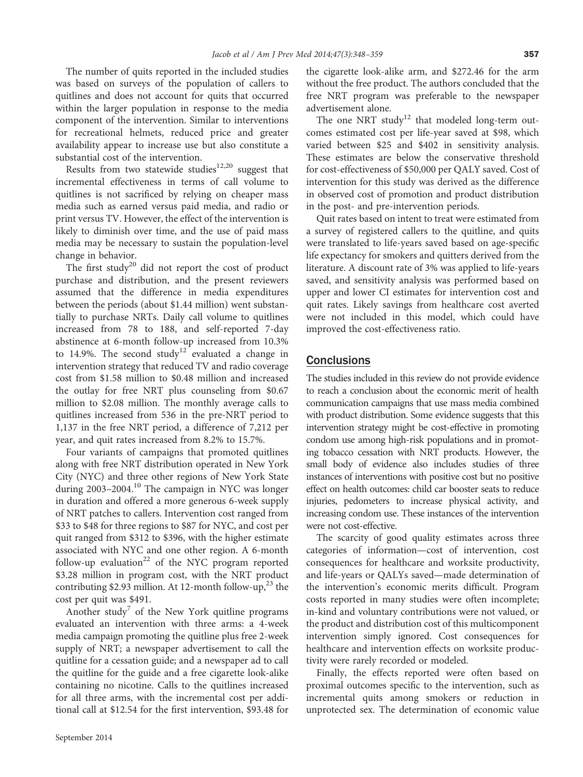The number of quits reported in the included studies was based on surveys of the population of callers to quitlines and does not account for quits that occurred within the larger population in response to the media component of the intervention. Similar to interventions for recreational helmets, reduced price and greater availability appear to increase use but also constitute a substantial cost of the intervention.

Results from two statewide studies<sup>12,20</sup> suggest that incremental effectiveness in terms of call volume to quitlines is not sacrificed by relying on cheaper mass media such as earned versus paid media, and radio or print versus TV. However, the effect of the intervention is likely to diminish over time, and the use of paid mass media may be necessary to sustain the population-level change in behavior.

The first study<sup>20</sup> did not report the cost of product purchase and distribution, and the present reviewers assumed that the difference in media expenditures between the periods (about \$1.44 million) went substantially to purchase NRTs. Daily call volume to quitlines increased from 78 to 188, and self-reported 7-day abstinence at 6-month follow-up increased from 10.3% to 14.9%. The second study<sup>12</sup> evaluated a change in intervention strategy that reduced TV and radio coverage cost from \$1.58 million to \$0.48 million and increased the outlay for free NRT plus counseling from \$0.67 million to \$2.08 million. The monthly average calls to quitlines increased from 536 in the pre-NRT period to 1,137 in the free NRT period, a difference of 7,212 per year, and quit rates increased from 8.2% to 15.7%.

Four variants of campaigns that promoted quitlines along with free NRT distribution operated in New York City (NYC) and three other regions of New York State during 2003-2004.<sup>10</sup> The campaign in NYC was longer in duration and offered a more generous 6-week supply of NRT patches to callers. Intervention cost ranged from \$33 to \$48 for three regions to \$87 for NYC, and cost per quit ranged from \$312 to \$396, with the higher estimate associated with NYC and one other region. A 6-month follow-up evaluation<sup>22</sup> of the NYC program reported \$3.28 million in program cost, with the NRT product contributing \$2.93 million. At 12-month follow-up, $^{23}$  the cost per quit was \$491.

Another study<sup>7</sup> of the New York quitline programs evaluated an intervention with three arms: a 4-week media campaign promoting the quitline plus free 2-week supply of NRT; a newspaper advertisement to call the quitline for a cessation guide; and a newspaper ad to call the quitline for the guide and a free cigarette look-alike containing no nicotine. Calls to the quitlines increased for all three arms, with the incremental cost per additional call at \$12.54 for the first intervention, \$93.48 for

September 2014

the cigarette look-alike arm, and \$272.46 for the arm without the free product. The authors concluded that the free NRT program was preferable to the newspaper advertisement alone.

The one NRT study<sup>12</sup> that modeled long-term outcomes estimated cost per life-year saved at \$98, which varied between \$25 and \$402 in sensitivity analysis. These estimates are below the conservative threshold for cost-effectiveness of \$50,000 per QALY saved. Cost of intervention for this study was derived as the difference in observed cost of promotion and product distribution in the post- and pre-intervention periods.

Quit rates based on intent to treat were estimated from a survey of registered callers to the quitline, and quits were translated to life-years saved based on age-specific life expectancy for smokers and quitters derived from the literature. A discount rate of 3% was applied to life-years saved, and sensitivity analysis was performed based on upper and lower CI estimates for intervention cost and quit rates. Likely savings from healthcare cost averted were not included in this model, which could have improved the cost-effectiveness ratio.

#### **Conclusions**

The studies included in this review do not provide evidence to reach a conclusion about the economic merit of health communication campaigns that use mass media combined with product distribution. Some evidence suggests that this intervention strategy might be cost-effective in promoting condom use among high-risk populations and in promoting tobacco cessation with NRT products. However, the small body of evidence also includes studies of three instances of interventions with positive cost but no positive effect on health outcomes: child car booster seats to reduce injuries, pedometers to increase physical activity, and increasing condom use. These instances of the intervention were not cost-effective.

The scarcity of good quality estimates across three categories of information—cost of intervention, cost consequences for healthcare and worksite productivity, and life-years or QALYs saved—made determination of the intervention's economic merits difficult. Program costs reported in many studies were often incomplete; in-kind and voluntary contributions were not valued, or the product and distribution cost of this multicomponent intervention simply ignored. Cost consequences for healthcare and intervention effects on worksite productivity were rarely recorded or modeled.

Finally, the effects reported were often based on proximal outcomes specific to the intervention, such as incremental quits among smokers or reduction in unprotected sex. The determination of economic value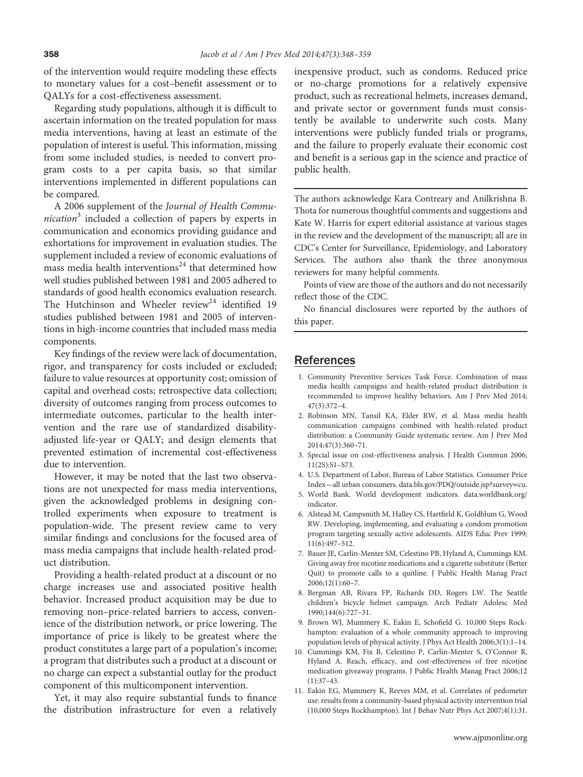of the intervention would require modeling these effects to monetary values for a cost–benefit assessment or to QALYs for a cost-effectiveness assessment.

Regarding study populations, although it is difficult to ascertain information on the treated population for mass media interventions, having at least an estimate of the population of interest is useful. This information, missing from some included studies, is needed to convert program costs to a per capita basis, so that similar interventions implemented in different populations can be compared.

A 2006 supplement of the Journal of Health Commu $nication<sup>3</sup>$  included a collection of papers by experts in communication and economics providing guidance and exhortations for improvement in evaluation studies. The supplement included a review of economic evaluations of mass media health interventions<sup>24</sup> that determined how well studies published between 1981 and 2005 adhered to standards of good health economics evaluation research. The Hutchinson and Wheeler review<sup>24</sup> identified 19 studies published between 1981 and 2005 of interventions in high-income countries that included mass media components.

Key findings of the review were lack of documentation, rigor, and transparency for costs included or excluded; failure to value resources at opportunity cost; omission of capital and overhead costs; retrospective data collection; diversity of outcomes ranging from process outcomes to intermediate outcomes, particular to the health intervention and the rare use of standardized disabilityadjusted life-year or QALY; and design elements that prevented estimation of incremental cost-effectiveness due to intervention.

However, it may be noted that the last two observations are not unexpected for mass media interventions, given the acknowledged problems in designing controlled experiments when exposure to treatment is population-wide. The present review came to very similar findings and conclusions for the focused area of mass media campaigns that include health-related product distribution.

Providing a health-related product at a discount or no charge increases use and associated positive health behavior. Increased product acquisition may be due to removing non–price-related barriers to access, convenience of the distribution network, or price lowering. The importance of price is likely to be greatest where the product constitutes a large part of a population's income; a program that distributes such a product at a discount or no charge can expect a substantial outlay for the product component of this multicomponent intervention.

Yet, it may also require substantial funds to finance the distribution infrastructure for even a relatively inexpensive product, such as condoms. Reduced price or no-charge promotions for a relatively expensive product, such as recreational helmets, increases demand, and private sector or government funds must consistently be available to underwrite such costs. Many interventions were publicly funded trials or programs, and the failure to properly evaluate their economic cost and benefit is a serious gap in the science and practice of public health.

The authors acknowledge Kara Contreary and Anilkrishna B. Thota for numerous thoughtful comments and suggestions and Kate W. Harris for expert editorial assistance at various stages in the review and the development of the manuscript; all are in CDC's Center for Surveillance, Epidemiology, and Laboratory Services. The authors also thank the three anonymous reviewers for many helpful comments.

Points of view are those of the authors and do not necessarily reflect those of the CDC.

No financial disclosures were reported by the authors of this paper.

#### References

- 1. Community Preventive Services Task Force. Combination of mass media health campaigns and health-related product distribution is recommended to improve healthy behaviors. Am J Prev Med 2014; 47(3):372–4.
- 2. Robinson MN, Tansil KA, Elder RW, et al. Mass media health communication campaigns combined with health-related product distribution: a Community Guide systematic review. Am J Prev Med 2014;47(3):360–71.
- 3. Special issue on cost-effectiveness analysis. J Health Commun 2006; 11(2S):S1–S73.
- 4. U.S. Department of Labor, Bureau of Labor Statistics. Consumer Price Index—all urban consumers. data.bls.gov/PDQ/outside.jsp?survey=cu.
- 5. World Bank. World development indicators. data.worldbank.org/ indicator.
- 6. Alstead M, Campsmith M, Halley CS, Hartfield K, Goldblum G, Wood RW. Developing, implementing, and evaluating a condom promotion program targeting sexually active adolescents. AIDS Educ Prev 1999; 11(6):497–512.
- 7. Bauer JE, Carlin-Menter SM, Celestino PB, Hyland A, Cummings KM. Giving away free nicotine medications and a cigarette substitute (Better Quit) to promote calls to a quitline. J Public Health Manag Pract 2006;12(1):60–7.
- 8. Bergman AB, Rivara FP, Richards DD, Rogers LW. The Seattle children's bicycle helmet campaign. Arch Pediatr Adolesc Med 1990;144(6):727–31.
- 9. Brown WJ, Mummery K, Eakin E, Schofield G. 10,000 Steps Rockhampton: evaluation of a whole community approach to improving population levels of physical activity. J Phys Act Health 2006;3(1):1–14.
- 10. Cummings KM, Fix B, Celestino P, Carlin-Menter S, O'Connor R, Hyland A. Reach, efficacy, and cost-effectiveness of free nicotine medication giveaway programs. J Public Health Manag Pract 2006;12  $(1):37-43.$
- 11. Eakin EG, Mummery K, Reeves MM, et al. Correlates of pedometer use: results from a community-based physical activity intervention trial (10,000 Steps Rockhampton). Int J Behav Nutr Phys Act 2007;4(1):31.